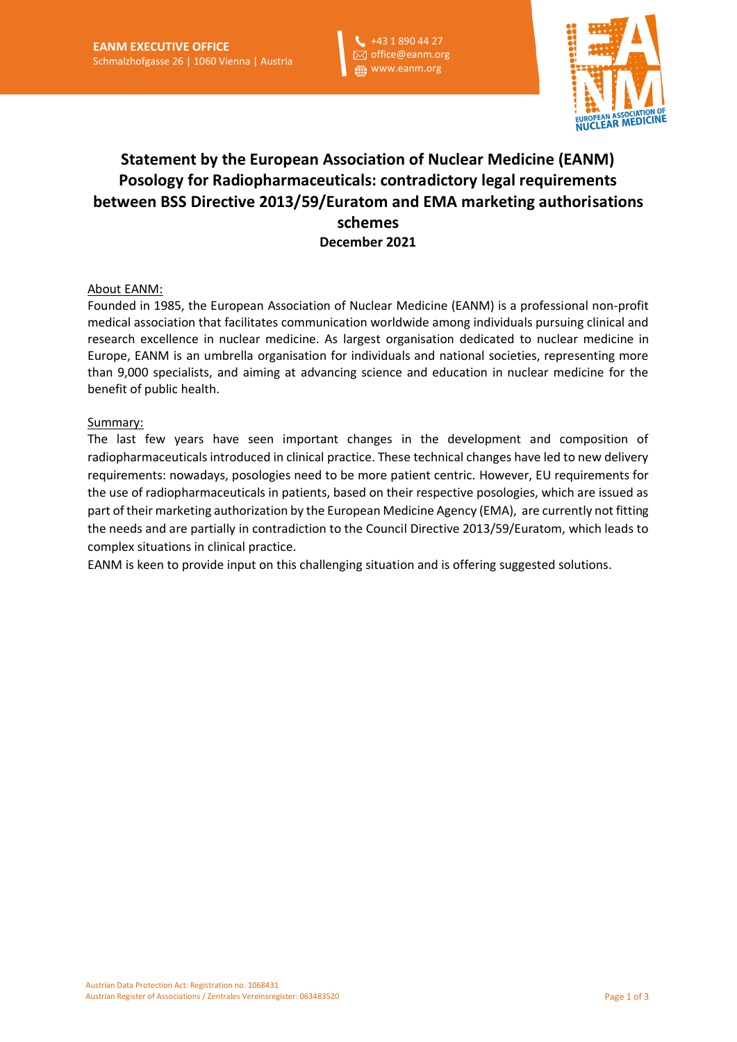+43 1 890 44 27 office@eanm.org www.eanm.org



# **Statement by the European Association of Nuclear Medicine (EANM) Posology for Radiopharmaceuticals: contradictory legal requirements between BSS Directive 2013/59/Euratom and EMA marketing authorisations schemes December 2021**

## About EANM:

Founded in 1985, the European Association of Nuclear Medicine (EANM) is a professional non-profit medical association that facilitates communication worldwide among individuals pursuing clinical and research excellence in nuclear medicine. As largest organisation dedicated to nuclear medicine in Europe, EANM is an umbrella organisation for individuals and national societies, representing more than 9,000 specialists, and aiming at advancing science and education in nuclear medicine for the benefit of public health.

#### Summary:

The last few years have seen important changes in the development and composition of radiopharmaceuticals introduced in clinical practice. These technical changes have led to new delivery requirements: nowadays, posologies need to be more patient centric. However, EU requirements for the use of radiopharmaceuticals in patients, based on their respective posologies, which are issued as part of their marketing authorization by the European Medicine Agency (EMA), are currently not fitting the needs and are partially in contradiction to the Council Directive 2013/59/Euratom, which leads to complex situations in clinical practice.

EANM is keen to provide input on this challenging situation and is offering suggested solutions.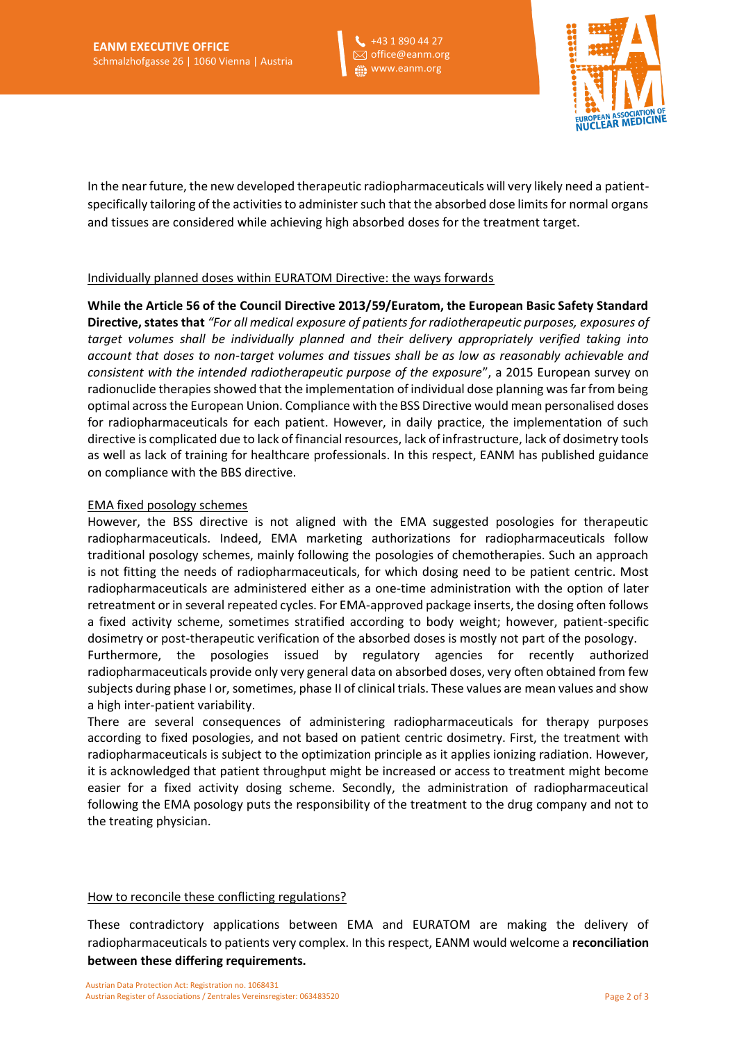+43 1 890 44 27 office@eanm.org www.eanm.org



In the near future, the new developed therapeutic radiopharmaceuticals will very likely need a patientspecifically tailoring of the activities to administer such that the absorbed dose limits for normal organs and tissues are considered while achieving high absorbed doses for the treatment target.

## Individually planned doses within EURATOM Directive: the ways forwards

**While the Article 56 of the Council Directive 2013/59/Euratom, the European Basic Safety Standard Directive, states that** *"For all medical exposure of patients for radiotherapeutic purposes, exposures of target volumes shall be individually planned and their delivery appropriately verified taking into account that doses to non-target volumes and tissues shall be as low as reasonably achievable and consistent with the intended radiotherapeutic purpose of the exposure*", a 2015 European survey on radionuclide therapies showed that the implementation of individual dose planning was far from being optimal across the European Union. Compliance with the BSS Directive would mean personalised doses for radiopharmaceuticals for each patient. However, in daily practice, the implementation of such directive is complicated due to lack of financial resources, lack of infrastructure, lack of dosimetry tools as well as lack of training for healthcare professionals. In this respect, EANM has published guidance on compliance with the BBS directive.

## EMA fixed posology schemes

However, the BSS directive is not aligned with the EMA suggested posologies for therapeutic radiopharmaceuticals. Indeed, EMA marketing authorizations for radiopharmaceuticals follow traditional posology schemes, mainly following the posologies of chemotherapies. Such an approach is not fitting the needs of radiopharmaceuticals, for which dosing need to be patient centric. Most radiopharmaceuticals are administered either as a one-time administration with the option of later retreatment or in several repeated cycles. For EMA-approved package inserts, the dosing often follows a fixed activity scheme, sometimes stratified according to body weight; however, patient-specific dosimetry or post-therapeutic verification of the absorbed doses is mostly not part of the posology.

Furthermore, the posologies issued by regulatory agencies for recently authorized radiopharmaceuticals provide only very general data on absorbed doses, very often obtained from few subjects during phase I or, sometimes, phase II of clinical trials. These values are mean values and show a high inter-patient variability.

There are several consequences of administering radiopharmaceuticals for therapy purposes according to fixed posologies, and not based on patient centric dosimetry. First, the treatment with radiopharmaceuticals is subject to the optimization principle as it applies ionizing radiation. However, it is acknowledged that patient throughput might be increased or access to treatment might become easier for a fixed activity dosing scheme. Secondly, the administration of radiopharmaceutical following the EMA posology puts the responsibility of the treatment to the drug company and not to the treating physician.

#### How to reconcile these conflicting regulations?

These contradictory applications between EMA and EURATOM are making the delivery of radiopharmaceuticals to patients very complex. In this respect, EANM would welcome a **reconciliation between these differing requirements.**